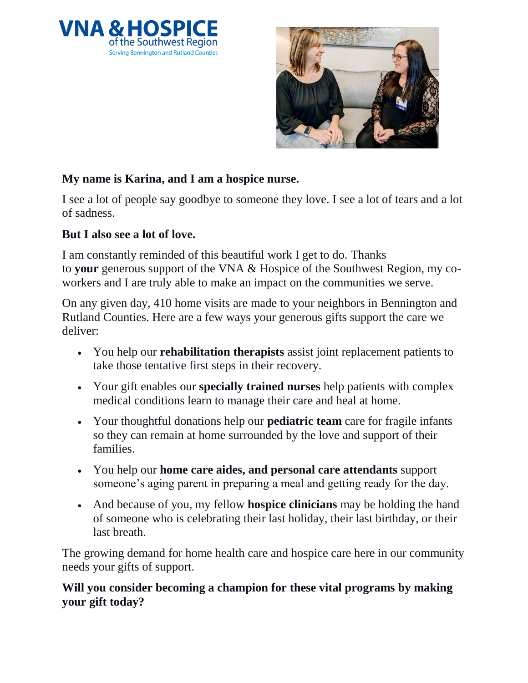



## **My name is Karina, and I am a hospice nurse.**

I see a lot of people say goodbye to someone they love. I see a lot of tears and a lot of sadness.

## **But I also see a lot of love.**

I am constantly reminded of this beautiful work I get to do. Thanks to **your** generous support of the VNA & Hospice of the Southwest Region, my coworkers and I are truly able to make an impact on the communities we serve.

On any given day, 410 home visits are made to your neighbors in Bennington and Rutland Counties. Here are a few ways your generous gifts support the care we deliver:

- You help our **rehabilitation therapists** assist joint replacement patients to take those tentative first steps in their recovery.
- Your gift enables our **specially trained nurses** help patients with complex medical conditions learn to manage their care and heal at home.
- Your thoughtful donations help our **pediatric team** care for fragile infants so they can remain at home surrounded by the love and support of their families.
- You help our **home care aides, and personal care attendants** support someone's aging parent in preparing a meal and getting ready for the day.
- And because of you, my fellow **hospice clinicians** may be holding the hand of someone who is celebrating their last holiday, their last birthday, or their last breath.

The growing demand for home health care and hospice care here in our community needs your gifts of support.

## **Will you consider becoming a champion for these vital programs by making your gift today?**